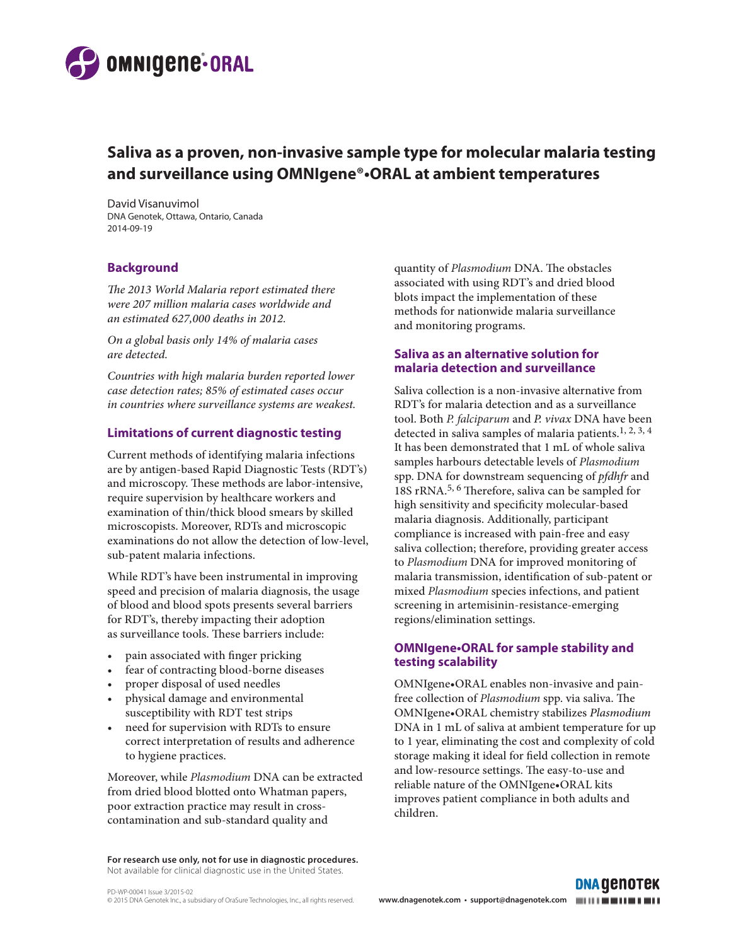

# **Saliva as a proven, non-invasive sample type for molecular malaria testing and surveillance using OMNIgene®•ORAL at ambient temperatures**

David Visanuvimol DNA Genotek, Ottawa, Ontario, Canada 2014-09-19

### **Background**

*The 2013 World Malaria report estimated there were 207 million malaria cases worldwide and an estimated 627,000 deaths in 2012.*

*On a global basis only 14% of malaria cases are detected.*

*Countries with high malaria burden reported lower case detection rates; 85% of estimated cases occur in countries where surveillance systems are weakest.*

## **Limitations of current diagnostic testing**

Current methods of identifying malaria infections are by antigen-based Rapid Diagnostic Tests (RDT's) and microscopy. These methods are labor-intensive, require supervision by healthcare workers and examination of thin/thick blood smears by skilled microscopists. Moreover, RDTs and microscopic examinations do not allow the detection of low-level, sub-patent malaria infections.

While RDT's have been instrumental in improving speed and precision of malaria diagnosis, the usage of blood and blood spots presents several barriers for RDT's, thereby impacting their adoption as surveillance tools. These barriers include:

- pain associated with finger pricking
- fear of contracting blood-borne diseases
- proper disposal of used needles
- physical damage and environmental susceptibility with RDT test strips
- need for supervision with RDTs to ensure correct interpretation of results and adherence to hygiene practices.

Moreover, while *Plasmodium* DNA can be extracted from dried blood blotted onto Whatman papers, poor extraction practice may result in crosscontamination and sub-standard quality and

**For research use only, not for use in diagnostic procedures.**  Not available for clinical diagnostic use in the United States.

quantity of *Plasmodium* DNA. The obstacles associated with using RDT's and dried blood blots impact the implementation of these methods for nationwide malaria surveillance and monitoring programs.

## **Saliva as an alternative solution for malaria detection and surveillance**

Saliva collection is a non-invasive alternative from RDT's for malaria detection and as a surveillance tool. Both *P. falciparum* and *P. vivax* DNA have been detected in saliva samples of malaria patients.<sup>1, 2, 3, 4</sup> It has been demonstrated that 1 mL of whole saliva samples harbours detectable levels of *Plasmodium* spp. DNA for downstream sequencing of *pfdhfr* and 18S rRNA.5, 6 Therefore, saliva can be sampled for high sensitivity and specificity molecular-based malaria diagnosis. Additionally, participant compliance is increased with pain-free and easy saliva collection; therefore, providing greater access to *Plasmodium* DNA for improved monitoring of malaria transmission, identification of sub-patent or mixed *Plasmodium* species infections, and patient screening in artemisinin-resistance-emerging regions/elimination settings.

### **OMNIgene•ORAL for sample stability and testing scalability**

OMNIgene•ORAL enables non-invasive and painfree collection of *Plasmodium* spp. via saliva. The OMNIgene•ORAL chemistry stabilizes *Plasmodium* DNA in 1 mL of saliva at ambient temperature for up to 1 year, eliminating the cost and complexity of cold storage making it ideal for field collection in remote and low-resource settings. The easy-to-use and reliable nature of the OMNIgene•ORAL kits improves patient compliance in both adults and children.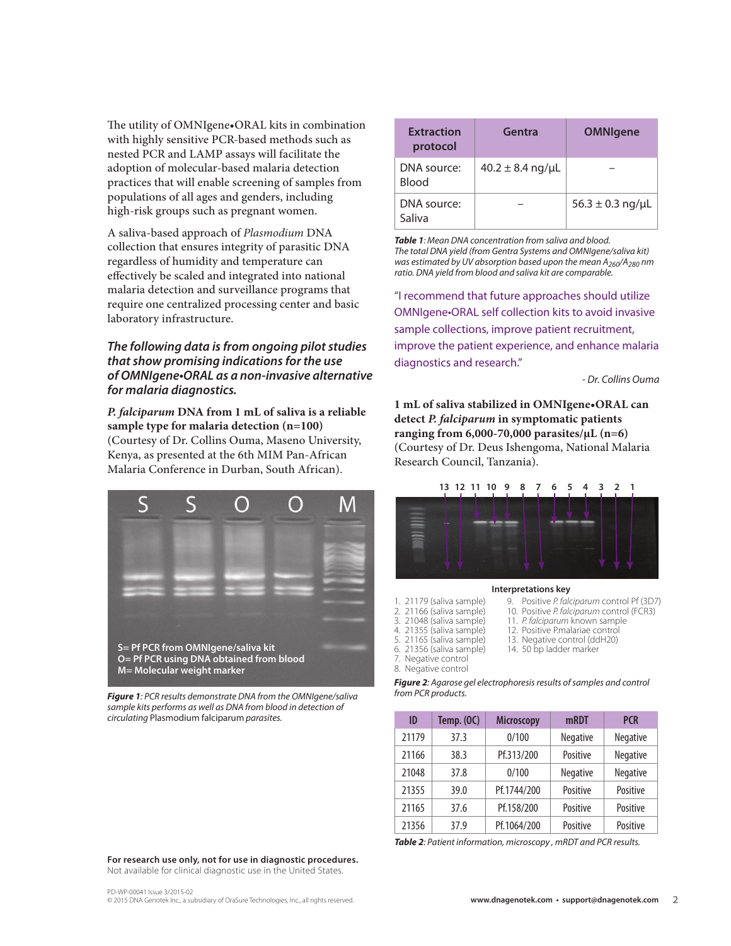The utility of OMNIgene•ORAL kits in combination with highly sensitive PCR-based methods such as nested PCR and LAMP assays will facilitate the adoption of molecular-based malaria detection practices that will enable screening of samples from populations of all ages and genders, including high-risk groups such as pregnant women.

A saliva-based approach of *Plasmodium* DNA collection that ensures integrity of parasitic DNA regardless of humidity and temperature can effectively be scaled and integrated into national malaria detection and surveillance programs that require one centralized processing center and basic laboratory infrastructure.

## *The following data is from ongoing pilot studies that show promising indications for the use of OMNIgene•ORAL as a non-invasive alternative for malaria diagnostics.*

*P. falciparum* **DNA from 1 mL of saliva is a reliable sample type for malaria detection (n=100)** (Courtesy of Dr. Collins Ouma, Maseno University, Kenya, as presented at the 6th MIM Pan-African Malaria Conference in Durban, South African).



*Figure 1: PCR results demonstrate DNA from the OMNIgene/saliva sample kits performs as well as DNA from blood in detection of circulating* Plasmodium falciparum *parasites.*

| <b>Extraction</b><br>protocol | Gentra               | <b>OMNIgene</b>      |
|-------------------------------|----------------------|----------------------|
| DNA source:<br><b>Blood</b>   | $40.2 \pm 8.4$ ng/µL |                      |
| DNA source:<br>Saliva         |                      | $56.3 \pm 0.3$ ng/µL |

*Table 1: Mean DNA concentration from saliva and blood. The total DNA yield (from Gentra Systems and OMNIgene/saliva kit) was estimated by UV absorption based upon the mean A260/A280 nm ratio. DNA yield from blood and saliva kit are comparable.*

"I recommend that future approaches should utilize OMNIgene•ORAL self collection kits to avoid invasive sample collections, improve patient recruitment, improve the patient experience, and enhance malaria diagnostics and research."

*- Dr. Collins Ouma*

**1 mL of saliva stabilized in OMNIgene•ORAL can detect** *P. falciparum* **in symptomatic patients ranging from 6,000-70,000 parasites/µL (n=6)**  (Courtesy of Dr. Deus Ishengoma, National Malaria Research Council, Tanzania).

#### **13 12 11 10 9 8 7 6 5 4 3 2 1**



#### **Interpretations key**

9. Positive *P. falciparum* control Pf (3D7) 10. Positive *P. falciparum* control (FCR3)

11. *P. falciparum* known sample 12. Positive P.malariae control 13. Negative control (ddH20) 14. 50 bp ladder marker

- 1. 21179 (saliva sample) 21166 (saliva sample)
- 3. 21048 (saliva sample)
- 4. 21355 (saliva sample)
- 5. 21165 (saliva sample)
- 6. 21356 (saliva sample)
- 7. Negative control 8. Negative control

*Figure 2: Agarose gel electrophoresis results of samples and control from PCR products.*

| ID    | <b>Temp. (OC)</b> | <b>Microscopy</b> | mRDT            | <b>PCR</b> |
|-------|-------------------|-------------------|-----------------|------------|
| 21179 | 37.3              | 0/100             | <b>Negative</b> | Negative   |
| 21166 | 38.3              | Pf.313/200        | Positive        | Negative   |
| 21048 | 37.8              | 0/100             | Negative        | Negative   |
| 21355 | 39.0              | Pf.1744/200       | Positive        | Positive   |
| 21165 | 37.6              | Pf.158/200        | Positive        | Positive   |
| 21356 | 37.9              | Pf.1064/200       | Positive        | Positive   |

*Table 2: Patient information, microscopy , mRDT and PCR results.*

**For research use only, not for use in diagnostic procedures.**  Not available for clinical diagnostic use in the United States.